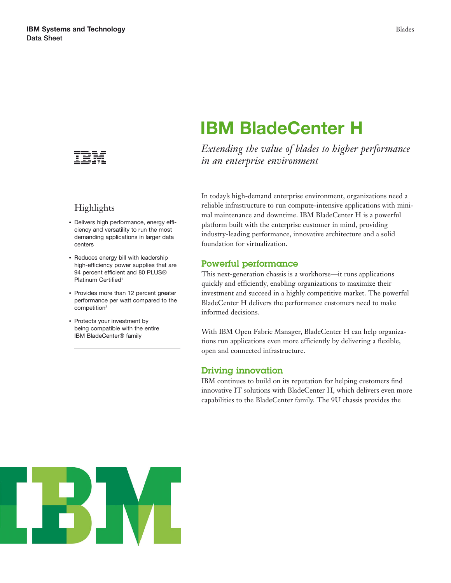

# Highlights

- Delivers high performance, energy efficiency and versatility to run the most demanding applications in larger data centers
- Reduces energy bill with leadership high-efficiency power supplies that are 94 percent efficient and 80 PLUS® Platinum Certified<sup>1</sup>
- Provides more than 12 percent greater performance per watt compared to the competition<sup>2</sup>
- Protects your investment by being compatible with the entire IBM BladeCenter® family

# **IBM BladeCenter H**

*Extending the value of blades to higher performance in an enterprise environment*

In today's high-demand enterprise environment, organizations need a reliable infrastructure to run compute-intensive applications with minimal maintenance and downtime. IBM BladeCenter H is a powerful platform built with the enterprise customer in mind, providing industry-leading performance, innovative architecture and a solid foundation for virtualization.

# **Powerful performance**

This next-generation chassis is a workhorse—it runs applications quickly and efficiently, enabling organizations to maximize their investment and succeed in a highly competitive market. The powerful BladeCenter H delivers the performance customers need to make informed decisions.

With IBM Open Fabric Manager, BladeCenter H can help organizations run applications even more efficiently by delivering a flexible, open and connected infrastructure.

# **Driving innovation**

IBM continues to build on its reputation for helping customers find innovative IT solutions with BladeCenter H, which delivers even more capabilities to the BladeCenter family. The 9U chassis provides the

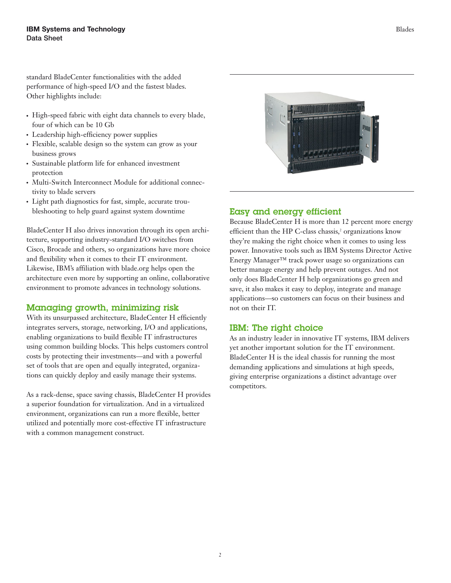standard BladeCenter functionalities with the added performance of high-speed I/O and the fastest blades. Other highlights include:

- High-speed fabric with eight data channels to every blade, four of which can be 10 Gb
- Leadership high-efficiency power supplies
- Flexible, scalable design so the system can grow as your business grows
- Sustainable platform life for enhanced investment protection
- Multi-Switch Interconnect Module for additional connectivity to blade servers
- Light path diagnostics for fast, simple, accurate troubleshooting to help guard against system downtime

BladeCenter H also drives innovation through its open architecture, supporting industry-standard I/O switches from Cisco, Brocade and others, so organizations have more choice and flexibility when it comes to their IT environment. Likewise, IBM's affiliation with blade.org helps open the architecture even more by supporting an online, collaborative environment to promote advances in technology solutions.

# **Managing growth, minimizing risk**

With its unsurpassed architecture, BladeCenter H efficiently integrates servers, storage, networking, I/O and applications, enabling organizations to build flexible IT infrastructures using common building blocks. This helps customers control costs by protecting their investments—and with a powerful set of tools that are open and equally integrated, organizations can quickly deploy and easily manage their systems.

As a rack-dense, space saving chassis, BladeCenter H provides a superior foundation for virtualization. And in a virtualized environment, organizations can run a more flexible, better utilized and potentially more cost-effective IT infrastructure with a common management construct.



#### Blades

# **Easy and energy efficient**

Because BladeCenter H is more than 12 percent more energy efficient than the HP C-class chassis,<sup>2</sup> organizations know they're making the right choice when it comes to using less power. Innovative tools such as IBM Systems Director Active Energy Manager™ track power usage so organizations can better manage energy and help prevent outages. And not only does BladeCenter H help organizations go green and save, it also makes it easy to deploy, integrate and manage applications—so customers can focus on their business and not on their IT.

#### **IBM: The right choice**

As an industry leader in innovative IT systems, IBM delivers yet another important solution for the IT environment. BladeCenter H is the ideal chassis for running the most demanding applications and simulations at high speeds, giving enterprise organizations a distinct advantage over competitors.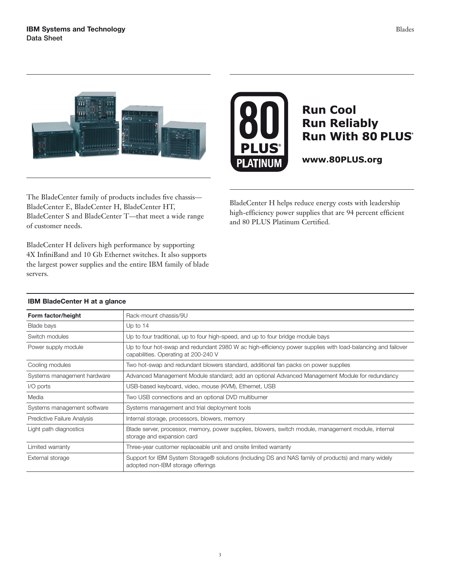



# **Run Cool Run Reliably Run With 80 PLUS®**

www.80PLUS.org

The BladeCenter family of products includes five chassis— BladeCenter E, BladeCenter H, BladeCenter HT, BladeCenter S and BladeCenter T—that meet a wide range of customer needs.

BladeCenter H delivers high performance by supporting 4X InfiniBand and 10 Gb Ethernet switches. It also supports the largest power supplies and the entire IBM family of blade servers.

BladeCenter H helps reduce energy costs with leadership high-efficiency power supplies that are 94 percent efficient and 80 PLUS Platinum Certified.

| Form factor/height          | Rack-mount chassis/9U                                                                                                                               |
|-----------------------------|-----------------------------------------------------------------------------------------------------------------------------------------------------|
| Blade bays                  | Up to $14$                                                                                                                                          |
| Switch modules              | Up to four traditional, up to four high-speed, and up to four bridge module bays                                                                    |
| Power supply module         | Up to four hot-swap and redundant 2980 W ac high-efficiency power supplies with load-balancing and failover<br>capabilities. Operating at 200-240 V |
| Cooling modules             | Two hot-swap and redundant blowers standard, additional fan packs on power supplies                                                                 |
| Systems management hardware | Advanced Management Module standard; add an optional Advanced Management Module for redundancy                                                      |
| I/O ports                   | USB-based keyboard, video, mouse (KVM), Ethernet, USB                                                                                               |
| Media                       | Two USB connections and an optional DVD multiburner                                                                                                 |
| Systems management software | Systems management and trial deployment tools                                                                                                       |
| Predictive Failure Analysis | Internal storage, processors, blowers, memory                                                                                                       |
| Light path diagnostics      | Blade server, processor, memory, power supplies, blowers, switch module, management module, internal<br>storage and expansion card                  |
| Limited warranty            | Three-year customer replaceable unit and onsite limited warranty                                                                                    |
| External storage            | Support for IBM System Storage® solutions (Including DS and NAS family of products) and many widely<br>adopted non-IBM storage offerings            |

#### **IBM BladeCenter H at a glance**